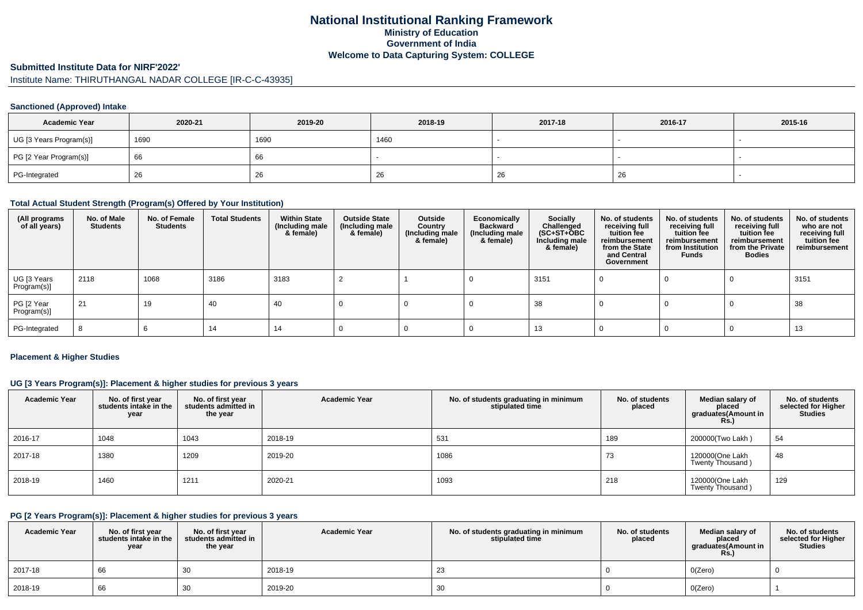# **National Institutional Ranking FrameworkMinistry of Education Government of IndiaWelcome to Data Capturing System: COLLEGE**

#### **Submitted Institute Data for NIRF'2022'**

# Institute Name: THIRUTHANGAL NADAR COLLEGE [IR-C-C-43935]

#### **Sanctioned (Approved) Intake**

| <b>Academic Year</b>    | 2020-21 | 2019-20 | 2018-19 | 2017-18 | 2016-17 | 2015-16 |
|-------------------------|---------|---------|---------|---------|---------|---------|
| UG [3 Years Program(s)] | 1690    | 1690    | 1460    |         |         |         |
| PG [2 Year Program(s)]  | 66      | oo      |         |         |         |         |
| PG-Integrated           | -26     | 26      | 26      | -26     | -26     |         |

#### **Total Actual Student Strength (Program(s) Offered by Your Institution)**

| (All programs<br>of all years) | No. of Male<br><b>Students</b> | No. of Female<br><b>Students</b> | <b>Total Students</b> | <b>Within State</b><br>(Including male<br>& female) | <b>Outside State</b><br>(Including male<br>& female) | Outside<br>Country<br>(Including male<br>& female) | Economically<br><b>Backward</b><br>(Including male<br>& female) | <b>Socially</b><br>Challenged<br>$(SC+ST+OBC)$<br>Including male<br>& female) | No. of students<br>receiving full<br>tuition fee<br>reimbursement<br>from the State<br>and Central<br>Government | No. of students<br>receiving full<br>tuition fee<br>reimbursement<br>from Institution<br><b>Funds</b> | No. of students<br>receiving full<br>tuition fee<br>reimbursement<br>from the Private<br><b>Bodies</b> | No. of students<br>who are not<br>receiving full<br>tuition fee<br>reimbursement |
|--------------------------------|--------------------------------|----------------------------------|-----------------------|-----------------------------------------------------|------------------------------------------------------|----------------------------------------------------|-----------------------------------------------------------------|-------------------------------------------------------------------------------|------------------------------------------------------------------------------------------------------------------|-------------------------------------------------------------------------------------------------------|--------------------------------------------------------------------------------------------------------|----------------------------------------------------------------------------------|
| UG [3 Years<br>Program(s)]     | 2118                           | 1068                             | 3186                  | 3183                                                |                                                      |                                                    |                                                                 | 3151                                                                          |                                                                                                                  |                                                                                                       |                                                                                                        | 3151                                                                             |
| PG [2 Year<br>Program(s)]      | 21                             | 19                               | 40                    | 40                                                  |                                                      |                                                    |                                                                 | 38                                                                            |                                                                                                                  |                                                                                                       |                                                                                                        | 38                                                                               |
| PG-Integrated                  |                                |                                  | 14                    | 14                                                  |                                                      |                                                    |                                                                 | 13                                                                            |                                                                                                                  |                                                                                                       |                                                                                                        | 13                                                                               |

#### **Placement & Higher Studies**

### **UG [3 Years Program(s)]: Placement & higher studies for previous 3 years**

| <b>Academic Year</b> | No. of first year<br>students intake in the<br>year | No. of first year<br>students admitted in<br>the year | <b>Academic Year</b> | No. of students graduating in minimum<br>stipulated time | No. of students<br>placed | Median salary of<br>placed<br>graduates(Amount in<br><b>Rs.)</b> | No. of students<br>selected for Higher<br><b>Studies</b> |
|----------------------|-----------------------------------------------------|-------------------------------------------------------|----------------------|----------------------------------------------------------|---------------------------|------------------------------------------------------------------|----------------------------------------------------------|
| 2016-17              | 1048                                                | 1043                                                  | 2018-19              | 531                                                      | 189                       | 200000(Two Lakh)                                                 | 54                                                       |
| 2017-18              | 1380                                                | 1209                                                  | 2019-20              | 1086                                                     | 73                        | 120000(One Lakh<br>Twenty Thousand)                              | 48                                                       |
| 2018-19              | 1460                                                | 1211                                                  | 2020-21              | 1093                                                     | 218                       | 120000(One Lakh<br>Twenty Thousand)                              | 129                                                      |

### **PG [2 Years Program(s)]: Placement & higher studies for previous 3 years**

| <b>Academic Year</b> | No. of first vear<br>students intake in the<br>year | No. of first year<br>students admitted in<br>the year | <b>Academic Year</b> | No. of students graduating in minimum<br>stipulated time | No. of students<br>placed | Median salary of<br>placed<br>graduates(Amount in<br><b>Rs.)</b> | No. of students<br>selected for Higher<br><b>Studies</b> |
|----------------------|-----------------------------------------------------|-------------------------------------------------------|----------------------|----------------------------------------------------------|---------------------------|------------------------------------------------------------------|----------------------------------------------------------|
| 2017-18              | 66                                                  | 30                                                    | 2018-19              | 23                                                       |                           | O(Zero)                                                          |                                                          |
| 2018-19              | 66                                                  | 30                                                    | 2019-20              | 30                                                       |                           | O(Zero)                                                          |                                                          |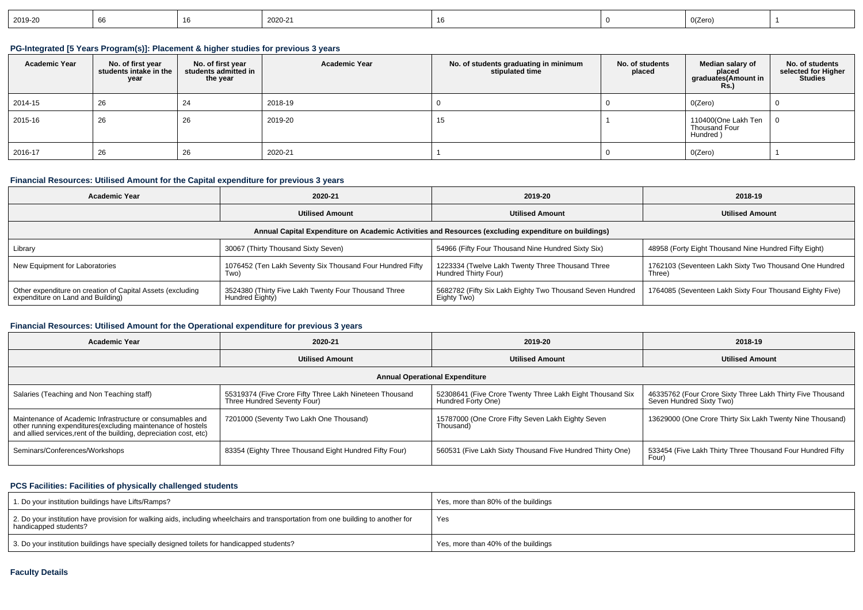| $12019 - 20$ | . <b>.</b> . |  | 2020-21 |  |  | $ -$<br>0(Zero' |  |
|--------------|--------------|--|---------|--|--|-----------------|--|
|--------------|--------------|--|---------|--|--|-----------------|--|

## **PG-Integrated [5 Years Program(s)]: Placement & higher studies for previous 3 years**

| <b>Academic Year</b> | No. of first year<br>students intake in the<br>year | No. of first year<br>students admitted in<br>the year | <b>Academic Year</b> | No. of students graduating in minimum<br>stipulated time | No. of students<br>placed | Median salary of<br>placed<br>graduates(Amount in<br><b>Rs.)</b> | No. of students<br>selected for Higher<br><b>Studies</b> |
|----------------------|-----------------------------------------------------|-------------------------------------------------------|----------------------|----------------------------------------------------------|---------------------------|------------------------------------------------------------------|----------------------------------------------------------|
| 2014-15              | 26                                                  | 24                                                    | 2018-19              |                                                          |                           | 0(Zero)                                                          |                                                          |
| 2015-16              | 26                                                  | 26                                                    | 2019-20              | 15                                                       |                           | 110400(One Lakh Ten<br>Thousand Four<br>Hundred)                 |                                                          |
| 2016-17              | 26                                                  | 26                                                    | 2020-21              |                                                          |                           | 0(Zero)                                                          |                                                          |

## **Financial Resources: Utilised Amount for the Capital expenditure for previous 3 years**

| <b>Academic Year</b>                                                                                 | 2020-21                                                                 |                                                                          | 2018-19                                                          |  |  |  |  |  |
|------------------------------------------------------------------------------------------------------|-------------------------------------------------------------------------|--------------------------------------------------------------------------|------------------------------------------------------------------|--|--|--|--|--|
|                                                                                                      | <b>Utilised Amount</b>                                                  |                                                                          | <b>Utilised Amount</b>                                           |  |  |  |  |  |
| Annual Capital Expenditure on Academic Activities and Resources (excluding expenditure on buildings) |                                                                         |                                                                          |                                                                  |  |  |  |  |  |
| Library                                                                                              | 30067 (Thirty Thousand Sixty Seven)                                     | 54966 (Fifty Four Thousand Nine Hundred Sixty Six)                       | 48958 (Forty Eight Thousand Nine Hundred Fifty Eight)            |  |  |  |  |  |
| New Equipment for Laboratories                                                                       | 1076452 (Ten Lakh Seventy Six Thousand Four Hundred Fifty<br>Two)       | 1223334 (Twelve Lakh Twenty Three Thousand Three<br>Hundred Thirty Four) | 1762103 (Seventeen Lakh Sixty Two Thousand One Hundred<br>Three) |  |  |  |  |  |
| Other expenditure on creation of Capital Assets (excluding<br>expenditure on Land and Building)      | 3524380 (Thirty Five Lakh Twenty Four Thousand Three<br>Hundred Eighty) | 5682782 (Fifty Six Lakh Eighty Two Thousand Seven Hundred<br>Eighty Two) | 1764085 (Seventeen Lakh Sixty Four Thousand Eighty Five)         |  |  |  |  |  |

#### **Financial Resources: Utilised Amount for the Operational expenditure for previous 3 years**

| <b>Academic Year</b>                                                                                                                                                                            | 2020-21                                                                                | 2019-20                                                                         | 2018-19                                                                                |  |  |  |  |  |  |  |  |
|-------------------------------------------------------------------------------------------------------------------------------------------------------------------------------------------------|----------------------------------------------------------------------------------------|---------------------------------------------------------------------------------|----------------------------------------------------------------------------------------|--|--|--|--|--|--|--|--|
|                                                                                                                                                                                                 | <b>Utilised Amount</b>                                                                 | <b>Utilised Amount</b>                                                          | <b>Utilised Amount</b>                                                                 |  |  |  |  |  |  |  |  |
| <b>Annual Operational Expenditure</b>                                                                                                                                                           |                                                                                        |                                                                                 |                                                                                        |  |  |  |  |  |  |  |  |
| Salaries (Teaching and Non Teaching staff)                                                                                                                                                      | 55319374 (Five Crore Fifty Three Lakh Nineteen Thousand<br>Three Hundred Seventy Four) | 52308641 (Five Crore Twenty Three Lakh Eight Thousand Six<br>Hundred Forty One) | 46335762 (Four Crore Sixty Three Lakh Thirty Five Thousand<br>Seven Hundred Sixty Two) |  |  |  |  |  |  |  |  |
| Maintenance of Academic Infrastructure or consumables and<br>other running expenditures (excluding maintenance of hostels<br>and allied services, rent of the building, depreciation cost, etc) | 7201000 (Seventy Two Lakh One Thousand)                                                | 15787000 (One Crore Fifty Seven Lakh Eighty Seven<br>Thousand)                  | 13629000 (One Crore Thirty Six Lakh Twenty Nine Thousand)                              |  |  |  |  |  |  |  |  |
| Seminars/Conferences/Workshops                                                                                                                                                                  | 83354 (Eighty Three Thousand Eight Hundred Fifty Four)                                 | 560531 (Five Lakh Sixty Thousand Five Hundred Thirty One)                       | 533454 (Five Lakh Thirty Three Thousand Four Hundred Fifty<br>Four)                    |  |  |  |  |  |  |  |  |

#### **PCS Facilities: Facilities of physically challenged students**

| 1. Do your institution buildings have Lifts/Ramps?                                                                                                         | Yes, more than 80% of the buildings |
|------------------------------------------------------------------------------------------------------------------------------------------------------------|-------------------------------------|
| 2. Do your institution have provision for walking aids, including wheelchairs and transportation from one building to another for<br>handicapped students? | Yes                                 |
| 3. Do your institution buildings have specially designed toilets for handicapped students?                                                                 | Yes, more than 40% of the buildings |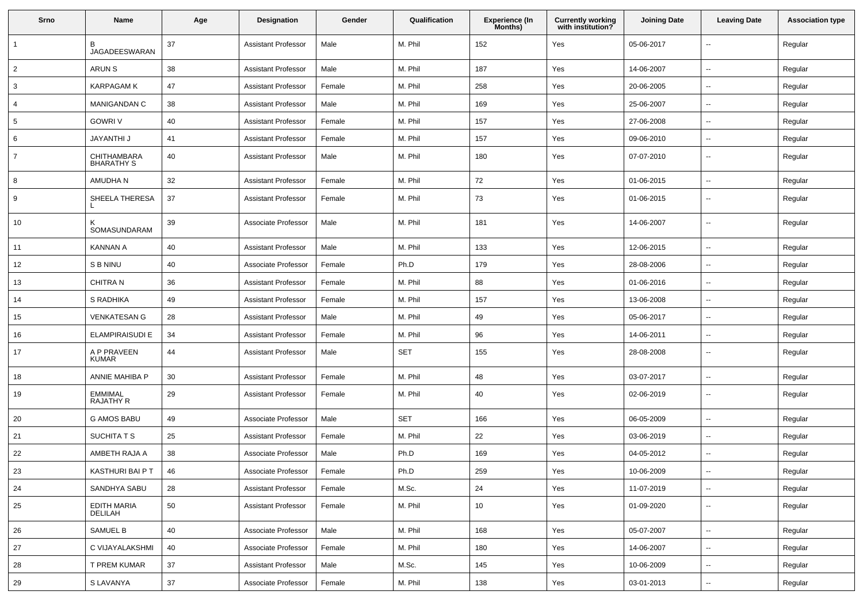| Srno           | Name                               | Age | <b>Designation</b>         | Gender | Qualification | Experience (In<br>Months) | <b>Currently working</b><br>with institution? | <b>Joining Date</b> | <b>Leaving Date</b>      | <b>Association type</b> |
|----------------|------------------------------------|-----|----------------------------|--------|---------------|---------------------------|-----------------------------------------------|---------------------|--------------------------|-------------------------|
| 1              | в<br><b>JAGADEESWARAN</b>          | 37  | <b>Assistant Professor</b> | Male   | M. Phil       | 152                       | Yes                                           | 05-06-2017          | $\overline{\phantom{a}}$ | Regular                 |
| $\overline{2}$ | <b>ARUN S</b>                      | 38  | <b>Assistant Professor</b> | Male   | M. Phil       | 187                       | Yes                                           | 14-06-2007          | $\overline{\phantom{a}}$ | Regular                 |
| 3              | <b>KARPAGAM K</b>                  | 47  | <b>Assistant Professor</b> | Female | M. Phil       | 258                       | Yes                                           | 20-06-2005          | $\overline{\phantom{a}}$ | Regular                 |
| 4              | MANIGANDAN C                       | 38  | <b>Assistant Professor</b> | Male   | M. Phil       | 169                       | Yes                                           | 25-06-2007          | $\sim$                   | Regular                 |
| 5              | <b>GOWRI V</b>                     | 40  | <b>Assistant Professor</b> | Female | M. Phil       | 157                       | Yes                                           | 27-06-2008          | $\overline{\phantom{a}}$ | Regular                 |
| 6              | <b>JAYANTHI J</b>                  | 41  | <b>Assistant Professor</b> | Female | M. Phil       | 157                       | Yes                                           | 09-06-2010          | $\overline{\phantom{a}}$ | Regular                 |
| $\overline{7}$ | CHITHAMBARA<br><b>BHARATHY S</b>   | 40  | <b>Assistant Professor</b> | Male   | M. Phil       | 180                       | Yes                                           | 07-07-2010          | $\sim$                   | Regular                 |
| 8              | AMUDHA N                           | 32  | <b>Assistant Professor</b> | Female | M. Phil       | 72                        | Yes                                           | 01-06-2015          | $\ddot{\phantom{a}}$     | Regular                 |
| 9              | SHEELA THERESA                     | 37  | <b>Assistant Professor</b> | Female | M. Phil       | 73                        | Yes                                           | 01-06-2015          | $\overline{\phantom{a}}$ | Regular                 |
| 10             | SOMASUNDARAM                       | 39  | Associate Professor        | Male   | M. Phil       | 181                       | Yes                                           | 14-06-2007          | $\overline{\phantom{a}}$ | Regular                 |
| 11             | <b>KANNAN A</b>                    | 40  | <b>Assistant Professor</b> | Male   | M. Phil       | 133                       | Yes                                           | 12-06-2015          | $\overline{\phantom{a}}$ | Regular                 |
| 12             | S B NINU                           | 40  | Associate Professor        | Female | Ph.D          | 179                       | Yes                                           | 28-08-2006          | $\overline{\phantom{a}}$ | Regular                 |
| 13             | <b>CHITRAN</b>                     | 36  | <b>Assistant Professor</b> | Female | M. Phil       | 88                        | Yes                                           | 01-06-2016          | $\sim$                   | Regular                 |
| 14             | S RADHIKA                          | 49  | <b>Assistant Professor</b> | Female | M. Phil       | 157                       | Yes                                           | 13-06-2008          | $\overline{\phantom{a}}$ | Regular                 |
| 15             | <b>VENKATESAN G</b>                | 28  | <b>Assistant Professor</b> | Male   | M. Phil       | 49                        | Yes                                           | 05-06-2017          | $\overline{\phantom{a}}$ | Regular                 |
| 16             | <b>ELAMPIRAISUDI E</b>             | 34  | <b>Assistant Professor</b> | Female | M. Phil       | 96                        | Yes                                           | 14-06-2011          | $\ddotsc$                | Regular                 |
| 17             | A P PRAVEEN<br><b>KUMAR</b>        | 44  | <b>Assistant Professor</b> | Male   | <b>SET</b>    | 155                       | Yes                                           | 28-08-2008          | $\overline{\phantom{a}}$ | Regular                 |
| 18             | ANNIE MAHIBA P                     | 30  | <b>Assistant Professor</b> | Female | M. Phil       | 48                        | Yes                                           | 03-07-2017          | $\overline{\phantom{a}}$ | Regular                 |
| 19             | <b>EMMIMAL</b><br><b>RAJATHY R</b> | 29  | <b>Assistant Professor</b> | Female | M. Phil       | 40                        | Yes                                           | 02-06-2019          | $\overline{\phantom{a}}$ | Regular                 |
| 20             | <b>G AMOS BABU</b>                 | 49  | Associate Professor        | Male   | <b>SET</b>    | 166                       | Yes                                           | 06-05-2009          | $\overline{\phantom{a}}$ | Regular                 |
| 21             | <b>SUCHITA T S</b>                 | 25  | <b>Assistant Professor</b> | Female | M. Phil       | 22                        | Yes                                           | 03-06-2019          | $\overline{\phantom{a}}$ | Regular                 |
| 22             | AMBETH RAJA A                      | 38  | Associate Professor        | Male   | Ph.D          | 169                       | Yes                                           | 04-05-2012          | $\overline{\phantom{a}}$ | Regular                 |
| 23             | KASTHURI BAI P T                   | 46  | Associate Professor        | Female | Ph.D          | 259                       | Yes                                           | 10-06-2009          |                          | Regular                 |
| 24             | SANDHYA SABU                       | 28  | <b>Assistant Professor</b> | Female | M.Sc.         | 24                        | Yes                                           | 11-07-2019          | $\overline{\phantom{a}}$ | Regular                 |
| 25             | EDITH MARIA<br>DELILAH             | 50  | <b>Assistant Professor</b> | Female | M. Phil       | 10                        | Yes                                           | 01-09-2020          | $\overline{\phantom{a}}$ | Regular                 |
| 26             | SAMUEL B                           | 40  | Associate Professor        | Male   | M. Phil       | 168                       | Yes                                           | 05-07-2007          | $\overline{\phantom{a}}$ | Regular                 |
| 27             | C VIJAYALAKSHMI                    | 40  | Associate Professor        | Female | M. Phil       | 180                       | Yes                                           | 14-06-2007          | $\overline{\phantom{a}}$ | Regular                 |
| 28             | T PREM KUMAR                       | 37  | <b>Assistant Professor</b> | Male   | M.Sc.         | 145                       | Yes                                           | 10-06-2009          | ۰.                       | Regular                 |
| 29             | S LAVANYA                          | 37  | Associate Professor        | Female | M. Phil       | 138                       | Yes                                           | 03-01-2013          | $\overline{\phantom{a}}$ | Regular                 |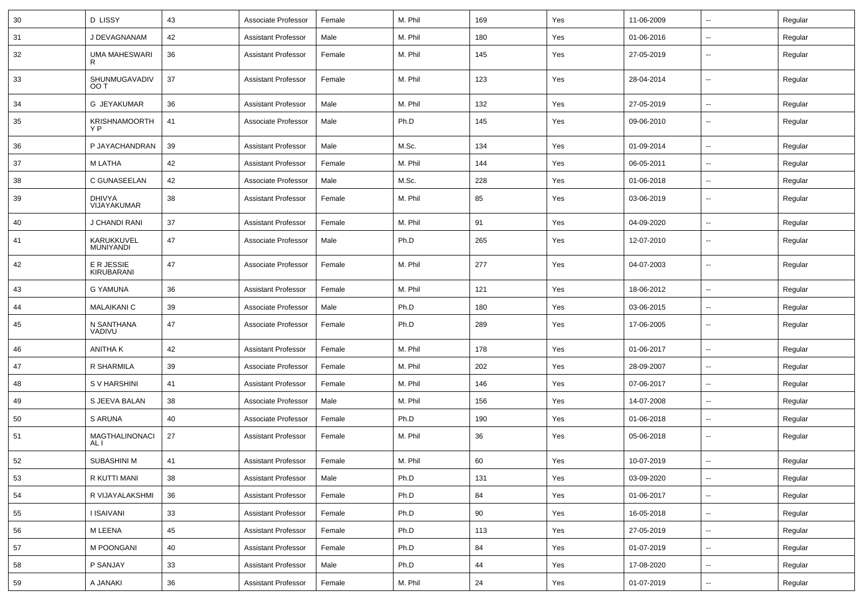| 30 | <b>D LISSY</b>                 | 43 | Associate Professor        | Female | M. Phil | 169 | Yes | 11-06-2009 | $\overline{\phantom{a}}$ | Regular |
|----|--------------------------------|----|----------------------------|--------|---------|-----|-----|------------|--------------------------|---------|
| 31 | J DEVAGNANAM                   | 42 | <b>Assistant Professor</b> | Male   | M. Phil | 180 | Yes | 01-06-2016 | $\overline{\phantom{a}}$ | Regular |
| 32 | <b>UMA MAHESWARI</b><br>R      | 36 | <b>Assistant Professor</b> | Female | M. Phil | 145 | Yes | 27-05-2019 | $\overline{\phantom{a}}$ | Regular |
| 33 | SHUNMUGAVADIV<br>OO T          | 37 | <b>Assistant Professor</b> | Female | M. Phil | 123 | Yes | 28-04-2014 | $\overline{\phantom{a}}$ | Regular |
| 34 | G JEYAKUMAR                    | 36 | <b>Assistant Professor</b> | Male   | M. Phil | 132 | Yes | 27-05-2019 | $\overline{\phantom{a}}$ | Regular |
| 35 | <b>KRISHNAMOORTH</b><br>Y P    | 41 | Associate Professor        | Male   | Ph.D    | 145 | Yes | 09-06-2010 | --                       | Regular |
| 36 | P JAYACHANDRAN                 | 39 | <b>Assistant Professor</b> | Male   | M.Sc.   | 134 | Yes | 01-09-2014 | $\overline{\phantom{a}}$ | Regular |
| 37 | M LATHA                        | 42 | <b>Assistant Professor</b> | Female | M. Phil | 144 | Yes | 06-05-2011 | Ξ.                       | Regular |
| 38 | C GUNASEELAN                   | 42 | Associate Professor        | Male   | M.Sc.   | 228 | Yes | 01-06-2018 | $\overline{\phantom{a}}$ | Regular |
| 39 | DHIVYA<br>VIJAYAKUMAR          | 38 | <b>Assistant Professor</b> | Female | M. Phil | 85  | Yes | 03-06-2019 | $\overline{\phantom{a}}$ | Regular |
| 40 | J CHANDI RANI                  | 37 | <b>Assistant Professor</b> | Female | M. Phil | 91  | Yes | 04-09-2020 | Ξ.                       | Regular |
| 41 | KARUKKUVEL<br><b>MUNIYANDI</b> | 47 | Associate Professor        | Male   | Ph.D    | 265 | Yes | 12-07-2010 | --                       | Regular |
| 42 | E R JESSIE<br>KIRUBARANI       | 47 | Associate Professor        | Female | M. Phil | 277 | Yes | 04-07-2003 | $\overline{\phantom{a}}$ | Regular |
| 43 | <b>G YAMUNA</b>                | 36 | <b>Assistant Professor</b> | Female | M. Phil | 121 | Yes | 18-06-2012 | $\overline{\phantom{a}}$ | Regular |
| 44 | <b>MALAIKANI C</b>             | 39 | Associate Professor        | Male   | Ph.D    | 180 | Yes | 03-06-2015 | $\overline{\phantom{a}}$ | Regular |
| 45 | N SANTHANA<br>VADIVU           | 47 | Associate Professor        | Female | Ph.D    | 289 | Yes | 17-06-2005 | --                       | Regular |
| 46 | ANITHA K                       | 42 | <b>Assistant Professor</b> | Female | M. Phil | 178 | Yes | 01-06-2017 | $\overline{\phantom{a}}$ | Regular |
| 47 | R SHARMILA                     | 39 | Associate Professor        | Female | M. Phil | 202 | Yes | 28-09-2007 | $\overline{\phantom{a}}$ | Regular |
| 48 | S V HARSHINI                   | 41 | <b>Assistant Professor</b> | Female | M. Phil | 146 | Yes | 07-06-2017 | $\overline{\phantom{a}}$ | Regular |
| 49 | S JEEVA BALAN                  | 38 | Associate Professor        | Male   | M. Phil | 156 | Yes | 14-07-2008 | $\overline{\phantom{a}}$ | Regular |
| 50 | S ARUNA                        | 40 | Associate Professor        | Female | Ph.D    | 190 | Yes | 01-06-2018 | $\overline{\phantom{a}}$ | Regular |
| 51 | <b>MAGTHALINONACI</b><br>AL I  | 27 | <b>Assistant Professor</b> | Female | M. Phil | 36  | Yes | 05-06-2018 | $\overline{\phantom{a}}$ | Regular |
| 52 | SUBASHINI M                    | 41 | <b>Assistant Professor</b> | Female | M. Phil | 60  | Yes | 10-07-2019 |                          | Regular |
| 53 | R KUTTI MANI                   | 38 | <b>Assistant Professor</b> | Male   | Ph.D    | 131 | Yes | 03-09-2020 | Ц.                       | Regular |
| 54 | R VIJAYALAKSHMI                | 36 | <b>Assistant Professor</b> | Female | Ph.D    | 84  | Yes | 01-06-2017 | Ξ.                       | Regular |
| 55 | <b>I ISAIVANI</b>              | 33 | <b>Assistant Professor</b> | Female | Ph.D    | 90  | Yes | 16-05-2018 | Ц.                       | Regular |
| 56 | M LEENA                        | 45 | <b>Assistant Professor</b> | Female | Ph.D    | 113 | Yes | 27-05-2019 | --                       | Regular |
| 57 | M POONGANI                     | 40 | <b>Assistant Professor</b> | Female | Ph.D    | 84  | Yes | 01-07-2019 | Ц.                       | Regular |
| 58 | P SANJAY                       | 33 | <b>Assistant Professor</b> | Male   | Ph.D    | 44  | Yes | 17-08-2020 | $\overline{\phantom{a}}$ | Regular |
| 59 | A JANAKI                       | 36 | <b>Assistant Professor</b> | Female | M. Phil | 24  | Yes | 01-07-2019 | $\overline{\phantom{a}}$ | Regular |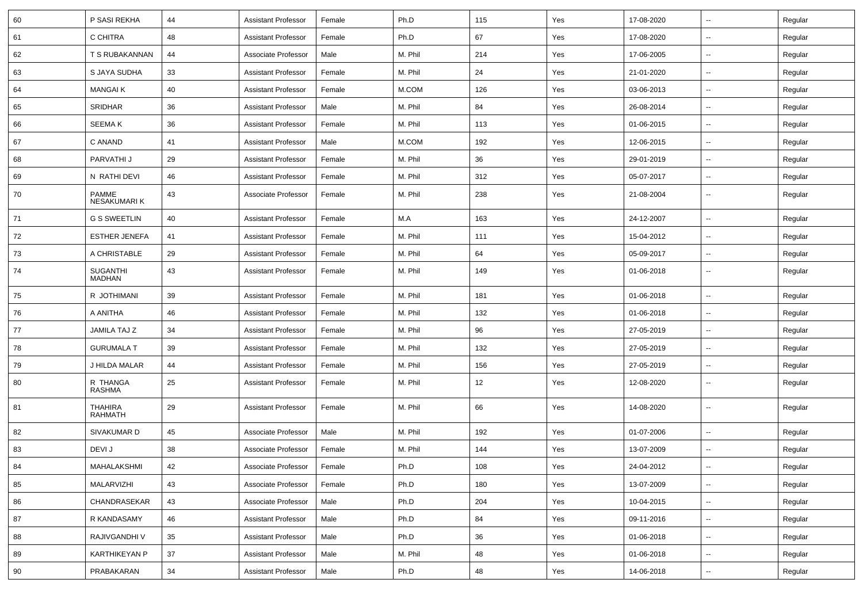| 60 | P SASI REKHA                       | 44 | <b>Assistant Professor</b> | Female | Ph.D    | 115 | Yes | 17-08-2020 | ⊷.                       | Regular |
|----|------------------------------------|----|----------------------------|--------|---------|-----|-----|------------|--------------------------|---------|
| 61 | C CHITRA                           | 48 | <b>Assistant Professor</b> | Female | Ph.D    | 67  | Yes | 17-08-2020 | --                       | Regular |
| 62 | T S RUBAKANNAN                     | 44 | Associate Professor        | Male   | M. Phil | 214 | Yes | 17-06-2005 | -−                       | Regular |
| 63 | S JAYA SUDHA                       | 33 | <b>Assistant Professor</b> | Female | M. Phil | 24  | Yes | 21-01-2020 | $\overline{a}$           | Regular |
| 64 | <b>MANGAIK</b>                     | 40 | <b>Assistant Professor</b> | Female | M.COM   | 126 | Yes | 03-06-2013 | --                       | Regular |
| 65 | <b>SRIDHAR</b>                     | 36 | <b>Assistant Professor</b> | Male   | M. Phil | 84  | Yes | 26-08-2014 | $\overline{\phantom{a}}$ | Regular |
| 66 | <b>SEEMAK</b>                      | 36 | <b>Assistant Professor</b> | Female | M. Phil | 113 | Yes | 01-06-2015 | ⊷.                       | Regular |
| 67 | C ANAND                            | 41 | <b>Assistant Professor</b> | Male   | M.COM   | 192 | Yes | 12-06-2015 | --                       | Regular |
| 68 | PARVATHI J                         | 29 | <b>Assistant Professor</b> | Female | M. Phil | 36  | Yes | 29-01-2019 | ⊷.                       | Regular |
| 69 | N RATHI DEVI                       | 46 | <b>Assistant Professor</b> | Female | M. Phil | 312 | Yes | 05-07-2017 | --                       | Regular |
| 70 | <b>PAMME</b><br><b>NESAKUMARIK</b> | 43 | Associate Professor        | Female | M. Phil | 238 | Yes | 21-08-2004 | --                       | Regular |
| 71 | <b>G S SWEETLIN</b>                | 40 | <b>Assistant Professor</b> | Female | M.A     | 163 | Yes | 24-12-2007 | --                       | Regular |
| 72 | <b>ESTHER JENEFA</b>               | 41 | <b>Assistant Professor</b> | Female | M. Phil | 111 | Yes | 15-04-2012 | ⊷.                       | Regular |
| 73 | A CHRISTABLE                       | 29 | <b>Assistant Professor</b> | Female | M. Phil | 64  | Yes | 05-09-2017 | ⊷.                       | Regular |
| 74 | <b>SUGANTHI</b><br><b>MADHAN</b>   | 43 | <b>Assistant Professor</b> | Female | M. Phil | 149 | Yes | 01-06-2018 | $\overline{\phantom{a}}$ | Regular |
| 75 | R JOTHIMANI                        | 39 | <b>Assistant Professor</b> | Female | M. Phil | 181 | Yes | 01-06-2018 | --                       | Regular |
| 76 | A ANITHA                           | 46 | <b>Assistant Professor</b> | Female | M. Phil | 132 | Yes | 01-06-2018 | --                       | Regular |
| 77 | JAMILA TAJ Z                       | 34 | <b>Assistant Professor</b> | Female | M. Phil | 96  | Yes | 27-05-2019 | $\overline{\phantom{a}}$ | Regular |
| 78 | <b>GURUMALA T</b>                  | 39 | <b>Assistant Professor</b> | Female | M. Phil | 132 | Yes | 27-05-2019 | --                       | Regular |
| 79 | J HILDA MALAR                      | 44 | <b>Assistant Professor</b> | Female | M. Phil | 156 | Yes | 27-05-2019 | $\overline{\phantom{a}}$ | Regular |
| 80 | R THANGA<br>RASHMA                 | 25 | <b>Assistant Professor</b> | Female | M. Phil | 12  | Yes | 12-08-2020 | $\overline{\phantom{a}}$ | Regular |
| 81 | <b>THAHIRA</b><br>RAHMATH          | 29 | <b>Assistant Professor</b> | Female | M. Phil | 66  | Yes | 14-08-2020 | $\overline{\phantom{a}}$ | Regular |
| 82 | SIVAKUMAR D                        | 45 | Associate Professor        | Male   | M. Phil | 192 | Yes | 01-07-2006 | $\overline{\phantom{a}}$ | Regular |
| 83 | DEVI J                             | 38 | Associate Professor        | Female | M. Phil | 144 | Yes | 13-07-2009 | --                       | Regular |
| 84 | MAHALAKSHMI                        | 42 | Associate Professor        | Female | Ph.D    | 108 | Yes | 24-04-2012 | $\overline{\phantom{a}}$ | Regular |
| 85 | <b>MALARVIZHI</b>                  | 43 | Associate Professor        | Female | Ph.D    | 180 | Yes | 13-07-2009 | Ξ.                       | Regular |
| 86 | CHANDRASEKAR                       | 43 | Associate Professor        | Male   | Ph.D    | 204 | Yes | 10-04-2015 | ш,                       | Regular |
| 87 | R KANDASAMY                        | 46 | <b>Assistant Professor</b> | Male   | Ph.D    | 84  | Yes | 09-11-2016 | н.                       | Regular |
| 88 | RAJIVGANDHI V                      | 35 | <b>Assistant Professor</b> | Male   | Ph.D    | 36  | Yes | 01-06-2018 | $\overline{\phantom{a}}$ | Regular |
| 89 | <b>KARTHIKEYAN P</b>               | 37 | <b>Assistant Professor</b> | Male   | M. Phil | 48  | Yes | 01-06-2018 | н.                       | Regular |
| 90 | PRABAKARAN                         | 34 | <b>Assistant Professor</b> | Male   | Ph.D    | 48  | Yes | 14-06-2018 | $\sim$                   | Regular |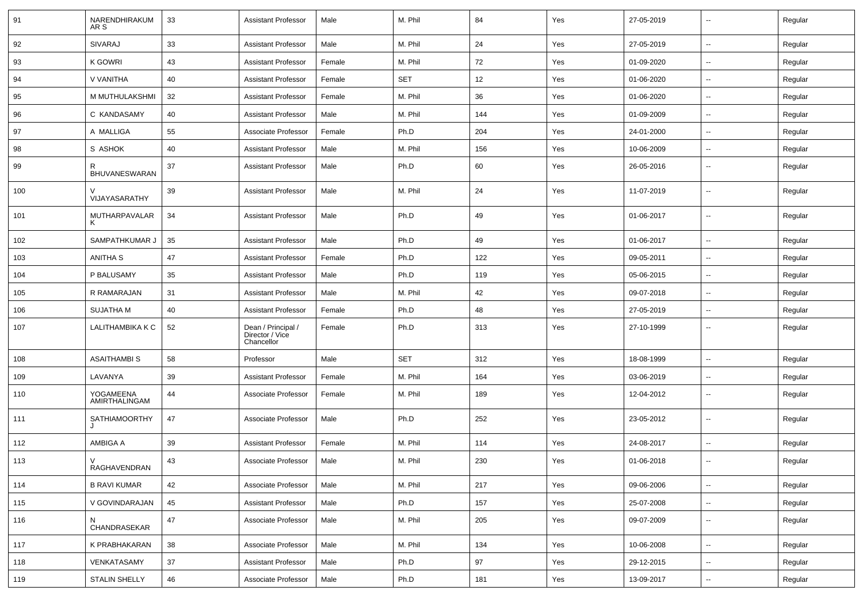| 91  | NARENDHIRAKUM<br>AR S      | 33 | <b>Assistant Professor</b>                          | Male   | M. Phil    | 84  | Yes | 27-05-2019 | $\overline{\phantom{a}}$ | Regular |
|-----|----------------------------|----|-----------------------------------------------------|--------|------------|-----|-----|------------|--------------------------|---------|
| 92  | SIVARAJ                    | 33 | <b>Assistant Professor</b>                          | Male   | M. Phil    | 24  | Yes | 27-05-2019 | $\sim$                   | Regular |
| 93  | <b>K GOWRI</b>             | 43 | <b>Assistant Professor</b>                          | Female | M. Phil    | 72  | Yes | 01-09-2020 | --                       | Regular |
| 94  | V VANITHA                  | 40 | <b>Assistant Professor</b>                          | Female | <b>SET</b> | 12  | Yes | 01-06-2020 | $\sim$                   | Regular |
| 95  | M MUTHULAKSHMI             | 32 | <b>Assistant Professor</b>                          | Female | M. Phil    | 36  | Yes | 01-06-2020 | $\overline{\phantom{a}}$ | Regular |
| 96  | C KANDASAMY                | 40 | <b>Assistant Professor</b>                          | Male   | M. Phil    | 144 | Yes | 01-09-2009 | --                       | Regular |
| 97  | A MALLIGA                  | 55 | Associate Professor                                 | Female | Ph.D       | 204 | Yes | 24-01-2000 | $\sim$                   | Regular |
| 98  | S ASHOK                    | 40 | <b>Assistant Professor</b>                          | Male   | M. Phil    | 156 | Yes | 10-06-2009 | $\sim$                   | Regular |
| 99  | R<br>BHUVANESWARAN         | 37 | <b>Assistant Professor</b>                          | Male   | Ph.D       | 60  | Yes | 26-05-2016 | --                       | Regular |
| 100 | VIJAYASARATHY              | 39 | <b>Assistant Professor</b>                          | Male   | M. Phil    | 24  | Yes | 11-07-2019 | --                       | Regular |
| 101 | MUTHARPAVALAR<br>к         | 34 | <b>Assistant Professor</b>                          | Male   | Ph.D       | 49  | Yes | 01-06-2017 | --                       | Regular |
| 102 | SAMPATHKUMAR J             | 35 | <b>Assistant Professor</b>                          | Male   | Ph.D       | 49  | Yes | 01-06-2017 | --                       | Regular |
| 103 | <b>ANITHA S</b>            | 47 | <b>Assistant Professor</b>                          | Female | Ph.D       | 122 | Yes | 09-05-2011 | Ξ.                       | Regular |
| 104 | P BALUSAMY                 | 35 | <b>Assistant Professor</b>                          | Male   | Ph.D       | 119 | Yes | 05-06-2015 | $\overline{\phantom{a}}$ | Regular |
| 105 | R RAMARAJAN                | 31 | <b>Assistant Professor</b>                          | Male   | M. Phil    | 42  | Yes | 09-07-2018 | --                       | Regular |
| 106 | <b>SUJATHA M</b>           | 40 | <b>Assistant Professor</b>                          | Female | Ph.D       | 48  | Yes | 27-05-2019 | $\sim$                   | Regular |
| 107 | LALITHAMBIKA K C           | 52 | Dean / Principal /<br>Director / Vice<br>Chancellor | Female | Ph.D       | 313 | Yes | 27-10-1999 | $\sim$                   | Regular |
| 108 | <b>ASAITHAMBIS</b>         | 58 | Professor                                           | Male   | <b>SET</b> | 312 | Yes | 18-08-1999 | $\sim$                   | Regular |
| 109 | LAVANYA                    | 39 | <b>Assistant Professor</b>                          | Female | M. Phil    | 164 | Yes | 03-06-2019 | $\overline{\phantom{a}}$ | Regular |
| 110 | YOGAMEENA<br>AMIRTHALINGAM | 44 | Associate Professor                                 | Female | M. Phil    | 189 | Yes | 12-04-2012 | --                       | Regular |
| 111 | <b>SATHIAMOORTHY</b>       | 47 | Associate Professor                                 | Male   | Ph.D       | 252 | Yes | 23-05-2012 | --                       | Regular |
| 112 | AMBIGA A                   | 39 | <b>Assistant Professor</b>                          | Female | M. Phil    | 114 | Yes | 24-08-2017 | --                       | Regular |
| 113 | V<br>RAGHAVENDRAN          | 43 | Associate Professor                                 | Male   | M. Phil    | 230 | Yes | 01-06-2018 |                          | Regular |
| 114 | <b>B RAVI KUMAR</b>        | 42 | Associate Professor                                 | Male   | M. Phil    | 217 | Yes | 09-06-2006 | Ξ.                       | Regular |
| 115 | V GOVINDARAJAN             | 45 | <b>Assistant Professor</b>                          | Male   | Ph.D       | 157 | Yes | 25-07-2008 | $\overline{\phantom{a}}$ | Regular |
| 116 | N<br>CHANDRASEKAR          | 47 | Associate Professor                                 | Male   | M. Phil    | 205 | Yes | 09-07-2009 | $\overline{\phantom{a}}$ | Regular |
| 117 | K PRABHAKARAN              | 38 | Associate Professor                                 | Male   | M. Phil    | 134 | Yes | 10-06-2008 | $\overline{\phantom{a}}$ | Regular |
| 118 | VENKATASAMY                | 37 | <b>Assistant Professor</b>                          | Male   | Ph.D       | 97  | Yes | 29-12-2015 | --                       | Regular |
| 119 | <b>STALIN SHELLY</b>       | 46 | Associate Professor                                 | Male   | Ph.D       | 181 | Yes | 13-09-2017 | $\overline{\phantom{a}}$ | Regular |